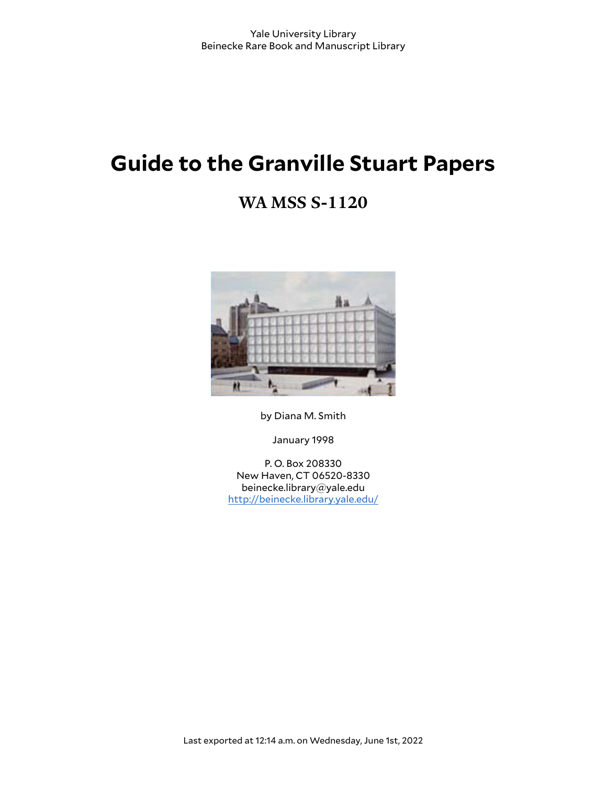# **Guide to the Granville Stuart Papers**

# **WA MSS S-1120**



by Diana M. Smith

January 1998

P. O. Box 208330 New Haven, CT 06520-8330 beinecke.library@yale.edu <http://beinecke.library.yale.edu/>

Last exported at 12:14 a.m. on Wednesday, June 1st, 2022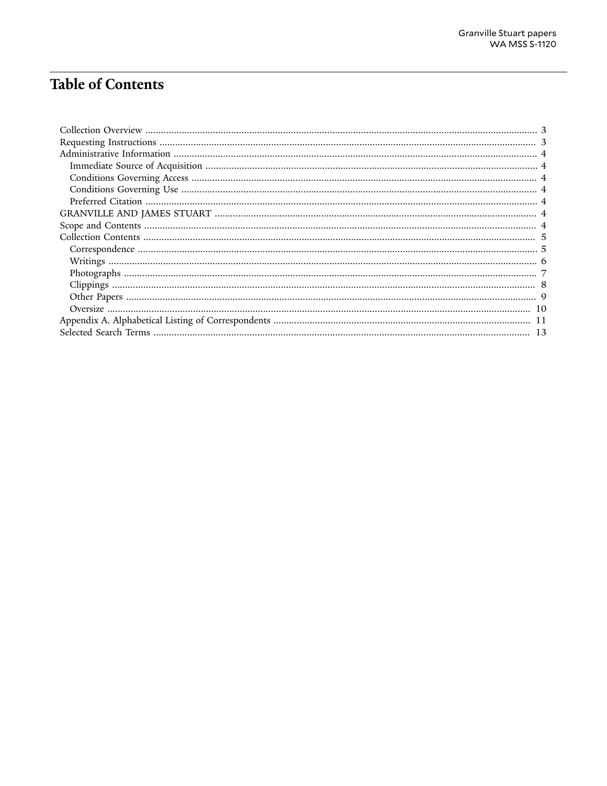# **Table of Contents**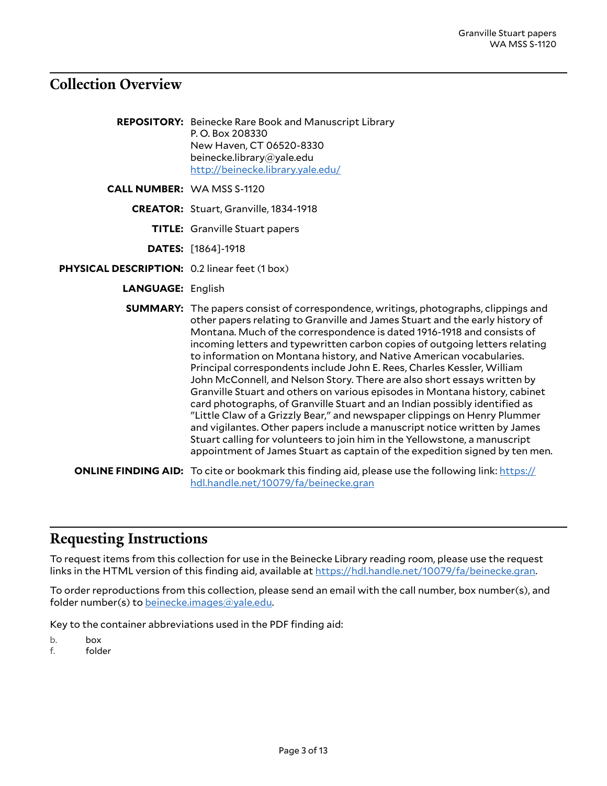### <span id="page-2-0"></span>**Collection Overview**

**REPOSITORY:** Beinecke Rare Book and Manuscript Library P. O. Box 208330 New Haven, CT 06520-8330 beinecke.library@yale.edu <http://beinecke.library.yale.edu/>

**CALL NUMBER:** WA MSS S-1120

- **CREATOR:** Stuart, Granville, 1834-1918
	- **TITLE:** Granville Stuart papers
	- **DATES:** [1864]-1918
- **PHYSICAL DESCRIPTION:** 0.2 linear feet (1 box)
	- **LANGUAGE:** English
	- **SUMMARY:** The papers consist of correspondence, writings, photographs, clippings and other papers relating to Granville and James Stuart and the early history of Montana. Much of the correspondence is dated 1916-1918 and consists of incoming letters and typewritten carbon copies of outgoing letters relating to information on Montana history, and Native American vocabularies. Principal correspondents include John E. Rees, Charles Kessler, William John McConnell, and Nelson Story. There are also short essays written by Granville Stuart and others on various episodes in Montana history, cabinet card photographs, of Granville Stuart and an Indian possibly identified as "Little Claw of a Grizzly Bear," and newspaper clippings on Henry Plummer and vigilantes. Other papers include a manuscript notice written by James Stuart calling for volunteers to join him in the Yellowstone, a manuscript appointment of James Stuart as captain of the expedition signed by ten men.
	- **ONLINE FINDING AID:** To cite or bookmark this finding aid, please use the following link: [https://](https://hdl.handle.net/10079/fa/beinecke.gran) [hdl.handle.net/10079/fa/beinecke.gran](https://hdl.handle.net/10079/fa/beinecke.gran)

#### <span id="page-2-1"></span>**Requesting Instructions**

To request items from this collection for use in the Beinecke Library reading room, please use the request links in the HTML version of this finding aid, available at <https://hdl.handle.net/10079/fa/beinecke.gran>.

To order reproductions from this collection, please send an email with the call number, box number(s), and folder number(s) to [beinecke.images@yale.edu.](mailto:beinecke.images@yale.edu)

Key to the container abbreviations used in the PDF finding aid:

- b. box
- f. folder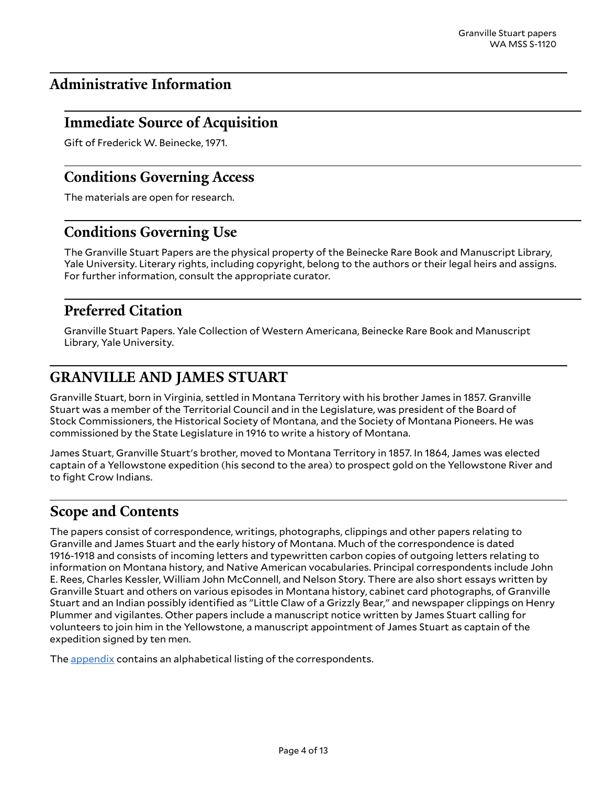# <span id="page-3-0"></span>**Administrative Information**

### <span id="page-3-1"></span>**Immediate Source of Acquisition**

Gift of Frederick W. Beinecke, 1971.

### <span id="page-3-2"></span>**Conditions Governing Access**

The materials are open for research.

### <span id="page-3-3"></span>**Conditions Governing Use**

The Granville Stuart Papers are the physical property of the Beinecke Rare Book and Manuscript Library, Yale University. Literary rights, including copyright, belong to the authors or their legal heirs and assigns. For further information, consult the appropriate curator.

### <span id="page-3-4"></span>**Preferred Citation**

Granville Stuart Papers. Yale Collection of Western Americana, Beinecke Rare Book and Manuscript Library, Yale University.

# <span id="page-3-5"></span>**GRANVILLE AND JAMES STUART**

Granville Stuart, born in Virginia, settled in Montana Territory with his brother James in 1857. Granville Stuart was a member of the Territorial Council and in the Legislature, was president of the Board of Stock Commissioners, the Historical Society of Montana, and the Society of Montana Pioneers. He was commissioned by the State Legislature in 1916 to write a history of Montana.

James Stuart, Granville Stuart's brother, moved to Montana Territory in 1857. In 1864, James was elected captain of a Yellowstone expedition (his second to the area) to prospect gold on the Yellowstone River and to fight Crow Indians.

### <span id="page-3-6"></span>**Scope and Contents**

The papers consist of correspondence, writings, photographs, clippings and other papers relating to Granville and James Stuart and the early history of Montana. Much of the correspondence is dated 1916-1918 and consists of incoming letters and typewritten carbon copies of outgoing letters relating to information on Montana history, and Native American vocabularies. Principal correspondents include John E. Rees, Charles Kessler, William John McConnell, and Nelson Story. There are also short essays written by Granville Stuart and others on various episodes in Montana history, cabinet card photographs, of Granville Stuart and an Indian possibly identified as "Little Claw of a Grizzly Bear," and newspaper clippings on Henry Plummer and vigilantes. Other papers include a manuscript notice written by James Stuart calling for volunteers to join him in the Yellowstone, a manuscript appointment of James Stuart as captain of the expedition signed by ten men.

The **appendix** contains an alphabetical listing of the correspondents.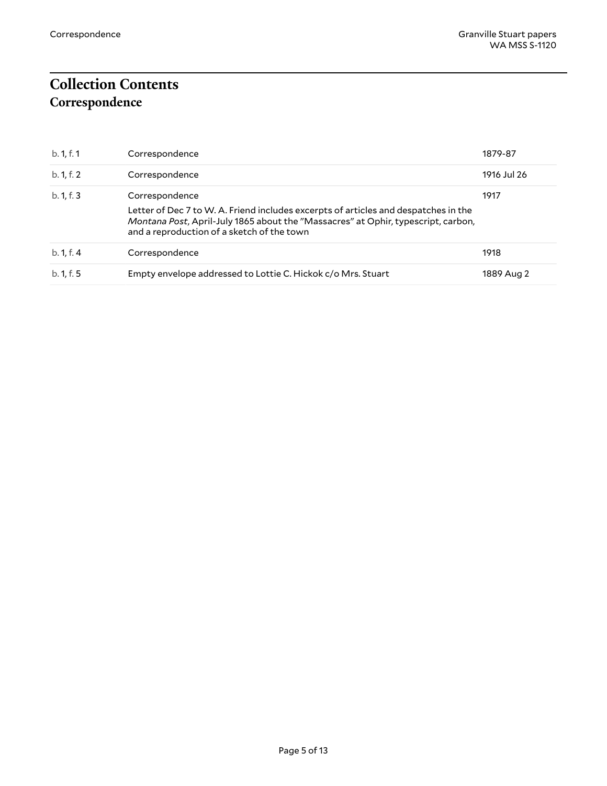# <span id="page-4-1"></span><span id="page-4-0"></span>**Collection Contents Correspondence**

| b. 1, f. 1 | Correspondence                                                                                                                                                                                                                           | 1879-87     |
|------------|------------------------------------------------------------------------------------------------------------------------------------------------------------------------------------------------------------------------------------------|-------------|
| b. 1, f. 2 | Correspondence                                                                                                                                                                                                                           | 1916 Jul 26 |
| b. 1, f. 3 | Correspondence<br>Letter of Dec 7 to W. A. Friend includes excerpts of articles and despatches in the<br>Montana Post, April-July 1865 about the "Massacres" at Ophir, typescript, carbon,<br>and a reproduction of a sketch of the town | 1917        |
| b. 1, f. 4 | Correspondence                                                                                                                                                                                                                           | 1918        |
| b. 1, f. 5 | Empty envelope addressed to Lottie C. Hickok c/o Mrs. Stuart                                                                                                                                                                             | 1889 Aug 2  |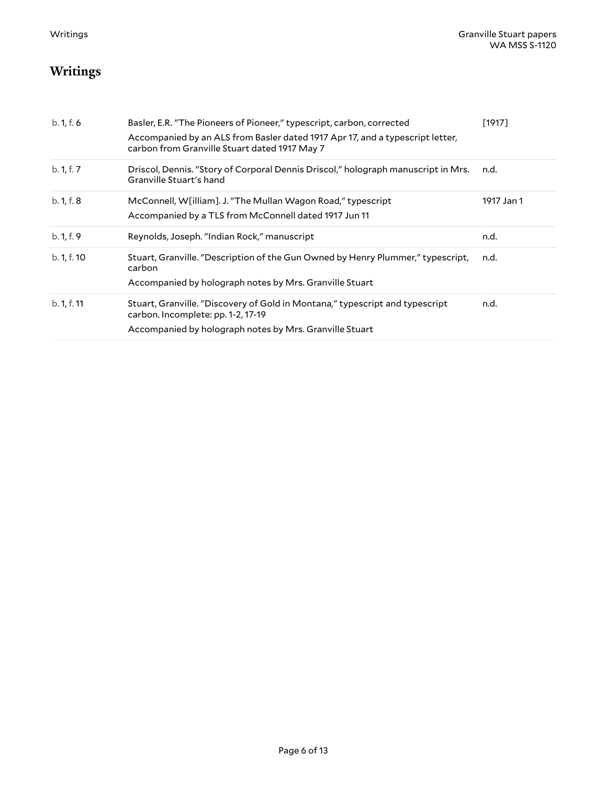# <span id="page-5-0"></span>**Writings**

| b. 1, f. 6  | Basler, E.R. "The Pioneers of Pioneer," typescript, carbon, corrected<br>Accompanied by an ALS from Basler dated 1917 Apr 17, and a typescript letter, | [1917]     |
|-------------|--------------------------------------------------------------------------------------------------------------------------------------------------------|------------|
|             | carbon from Granville Stuart dated 1917 May 7                                                                                                          |            |
| b. 1, f. 7  | Driscol, Dennis. "Story of Corporal Dennis Driscol," holograph manuscript in Mrs.<br>Granville Stuart's hand                                           | n.d.       |
| b. 1, f. 8  | McConnell, W[illiam]. J. "The Mullan Wagon Road," typescript                                                                                           | 1917 Jan 1 |
|             | Accompanied by a TLS from McConnell dated 1917 Jun 11                                                                                                  |            |
| b. 1, f. 9  | Reynolds, Joseph. "Indian Rock," manuscript                                                                                                            | n.d.       |
|             |                                                                                                                                                        |            |
| b. 1, f. 10 | Stuart, Granville. "Description of the Gun Owned by Henry Plummer," typescript,<br>carbon                                                              | n.d.       |
|             | Accompanied by holograph notes by Mrs. Granville Stuart                                                                                                |            |
| b. 1, f. 11 | Stuart, Granville. "Discovery of Gold in Montana," typescript and typescript<br>carbon. Incomplete: pp. 1-2, 17-19                                     | n.d.       |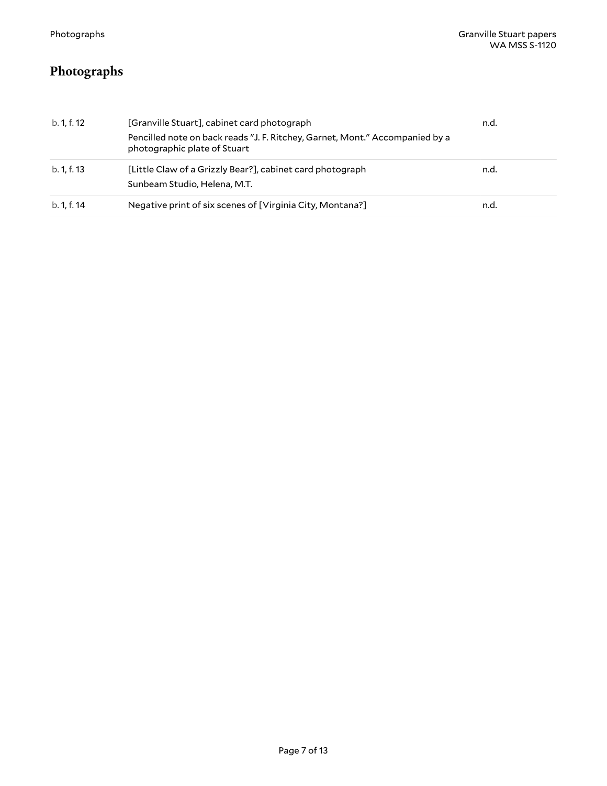# <span id="page-6-0"></span>**Photographs**

| b. 1, f. 12 | [Granville Stuart], cabinet card photograph<br>Pencilled note on back reads "J. F. Ritchey, Garnet, Mont." Accompanied by a<br>photographic plate of Stuart | n.d. |
|-------------|-------------------------------------------------------------------------------------------------------------------------------------------------------------|------|
| b. 1, f. 13 | [Little Claw of a Grizzly Bear?], cabinet card photograph<br>Sunbeam Studio, Helena, M.T.                                                                   | n.d. |
| b. 1, f. 14 | Negative print of six scenes of [Virginia City, Montana?]                                                                                                   | n.d. |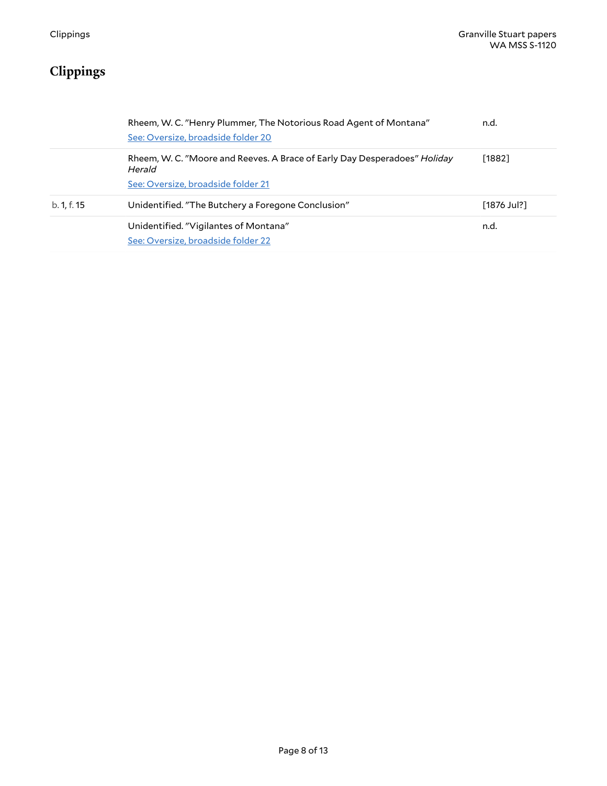# <span id="page-7-0"></span>**Clippings**

|             | Rheem, W. C. "Henry Plummer, The Notorious Road Agent of Montana"<br>See: Oversize, broadside folder 20                   | n.d.          |
|-------------|---------------------------------------------------------------------------------------------------------------------------|---------------|
|             | Rheem, W. C. "Moore and Reeves. A Brace of Early Day Desperadoes" Holiday<br>Herald<br>See: Oversize, broadside folder 21 | [1882]        |
| b. 1, f. 15 | Unidentified. "The Butchery a Foregone Conclusion"                                                                        | $[1876$ Jul?] |
|             | Unidentified. "Vigilantes of Montana"<br>See: Oversize, broadside folder 22                                               | n.d.          |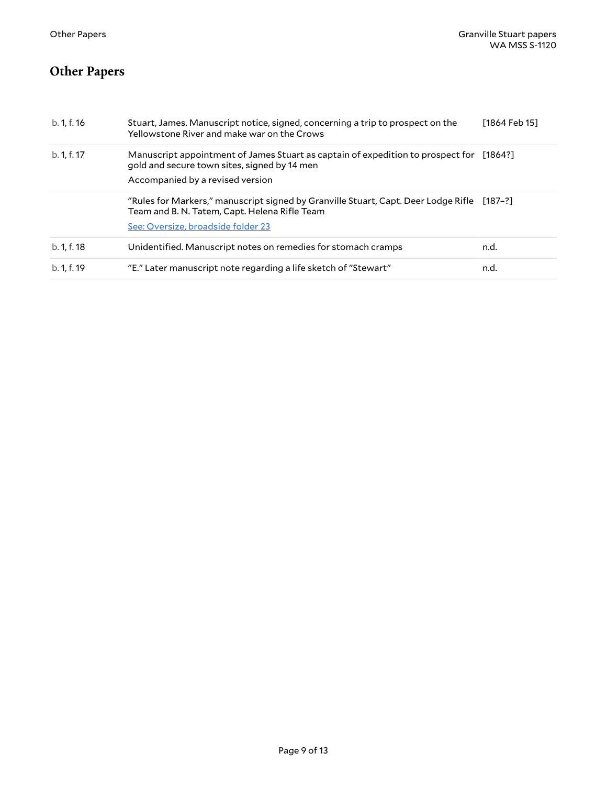# <span id="page-8-0"></span>**Other Papers**

| b. 1, f. 16 | Stuart, James. Manuscript notice, signed, concerning a trip to prospect on the<br>Yellowstone River and make war on the Crows           | [1864 Feb 15] |
|-------------|-----------------------------------------------------------------------------------------------------------------------------------------|---------------|
| b. 1, f. 17 | Manuscript appointment of James Stuart as captain of expedition to prospect for [1864?]<br>gold and secure town sites, signed by 14 men |               |
|             | Accompanied by a revised version                                                                                                        |               |
|             | "Rules for Markers," manuscript signed by Granville Stuart, Capt. Deer Lodge Rifle<br>Team and B. N. Tatem, Capt. Helena Rifle Team     | [187–?]       |
|             | See: Oversize, broadside folder 23                                                                                                      |               |
| b. 1, f. 18 | Unidentified. Manuscript notes on remedies for stomach cramps                                                                           | n.d.          |
| b. 1, f. 19 | "E." Later manuscript note regarding a life sketch of "Stewart"                                                                         | n.d.          |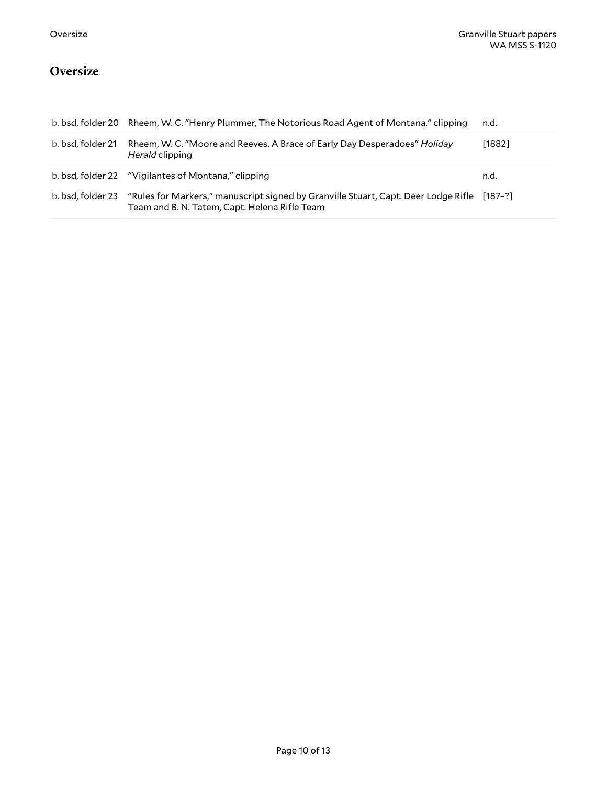## <span id="page-9-0"></span>**Oversize**

<span id="page-9-4"></span><span id="page-9-3"></span><span id="page-9-2"></span><span id="page-9-1"></span>

|                   | b. bsd, folder 20 Rheem, W. C. "Henry Plummer, The Notorious Road Agent of Montana," clipping                                               | n.d.   |
|-------------------|---------------------------------------------------------------------------------------------------------------------------------------------|--------|
| b. bsd, folder 21 | Rheem, W. C. "Moore and Reeves. A Brace of Early Day Desperadoes" Holiday<br>Herald clipping                                                | [1882] |
|                   |                                                                                                                                             | n.d.   |
| b. bsd. folder 23 | "Rules for Markers," manuscript signed by Granville Stuart, Capt. Deer Lodge Rifle [187-?]<br>Team and B. N. Tatem, Capt. Helena Rifle Team |        |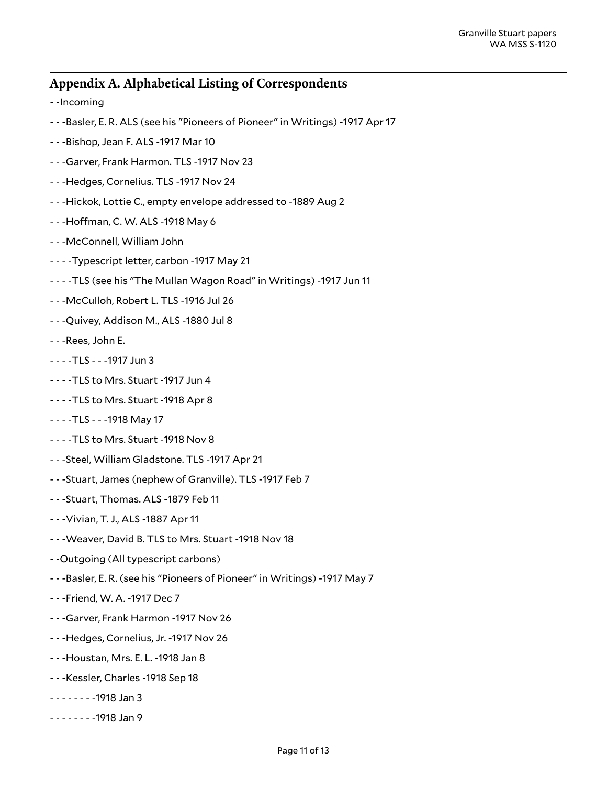#### <span id="page-10-0"></span>**Appendix A. Alphabetical Listing of Correspondents**

- -Incoming
- - -Basler, E. R. ALS (see his "Pioneers of Pioneer" in Writings) -1917 Apr 17
- - -Bishop, Jean F. ALS -1917 Mar 10
- - -Garver, Frank Harmon. TLS -1917 Nov 23
- - -Hedges, Cornelius. TLS -1917 Nov 24
- - -Hickok, Lottie C., empty envelope addressed to -1889 Aug 2
- - Hoffman, C. W. ALS -1918 May 6
- - -McConnell, William John
- - -Typescript letter, carbon -1917 May 21
- - -TLS (see his "The Mullan Wagon Road" in Writings) -1917 Jun 11
- - -McCulloh, Robert L. TLS -1916 Jul 26
- - -Quivey, Addison M., ALS -1880 Jul 8
- - -Rees, John E.
- - -TLS - -1917 Jun 3
- - -TLS to Mrs. Stuart -1917 Jun 4
- - -TLS to Mrs. Stuart -1918 Apr 8
- - -TLS - -1918 May 17
- - -TLS to Mrs. Stuart -1918 Nov 8
- - -Steel, William Gladstone. TLS -1917 Apr 21
- - -Stuart, James (nephew of Granville). TLS -1917 Feb 7
- - -Stuart, Thomas. ALS -1879 Feb 11
- - -Vivian, T. J., ALS -1887 Apr 11
- - -Weaver, David B. TLS to Mrs. Stuart -1918 Nov 18
- -Outgoing (All typescript carbons)
- - -Basler, E. R. (see his "Pioneers of Pioneer" in Writings) -1917 May 7
- - -Friend, W. A. -1917 Dec 7
- - -Garver, Frank Harmon -1917 Nov 26
- - -Hedges, Cornelius, Jr. -1917 Nov 26
- - -Houstan, Mrs. E. L. -1918 Jan 8
- - -Kessler, Charles -1918 Sep 18
- - - - -1918 Jan 3
- - - - -1918 Jan 9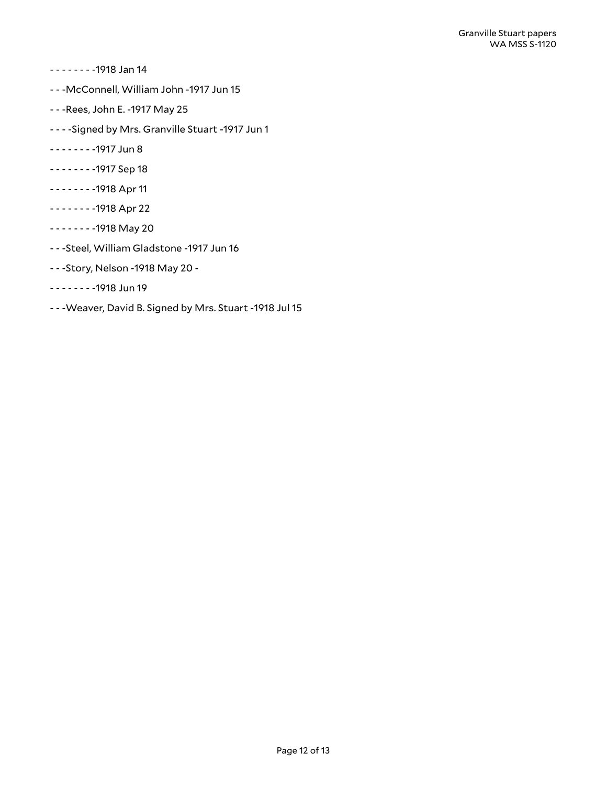- - - - -1918 Jan 14
- - -McConnell, William John -1917 Jun 15
- - -Rees, John E. -1917 May 25
- - -Signed by Mrs. Granville Stuart -1917 Jun 1
- - - - -1917 Jun 8
- - - - -1917 Sep 18
- - - - -1918 Apr 11
- - - - -1918 Apr 22
- - - - -1918 May 20
- - -Steel, William Gladstone -1917 Jun 16
- - -Story, Nelson -1918 May 20 -
- - - - -1918 Jun 19
- - -Weaver, David B. Signed by Mrs. Stuart -1918 Jul 15